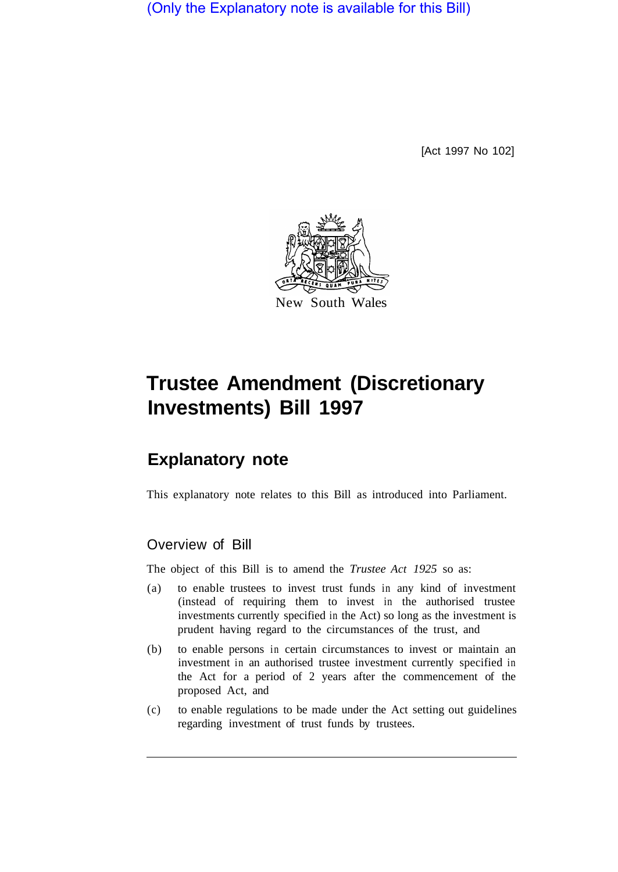(Only the Explanatory note is available for this Bill)

[Act 1997 No 102]



# **Trustee Amendment (Discretionary Investments) Bill 1997**

# **Explanatory note**

This explanatory note relates to this Bill as introduced into Parliament.

# Overview of Bill

The object of this Bill is to amend the *Trustee Act 1925* so as:

- (a) to enable trustees to invest trust funds in any kind of investment (instead of requiring them to invest in the authorised trustee investments currently specified in the Act) so long as the investment is prudent having regard to the circumstances of the trust, and
- (b) to enable persons in certain circumstances to invest or maintain an investment in an authorised trustee investment currently specified in the Act for a period of 2 years after the commencement of the proposed Act, and
- (c) to enable regulations to be made under the Act setting out guidelines regarding investment of trust funds by trustees.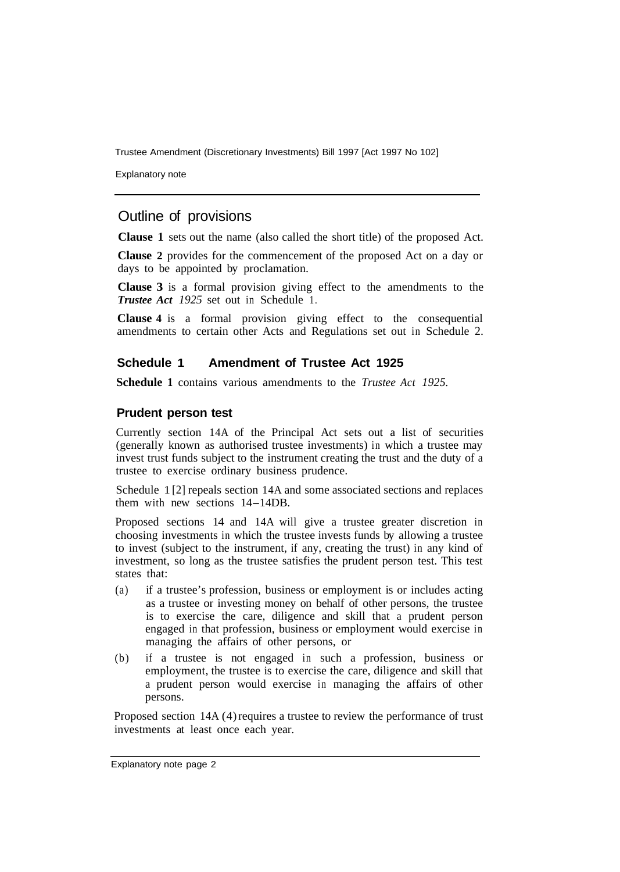Trustee Amendment (Discretionary Investments) Bill 1997 [Act 1997 No 102]

Explanatory note

## Outline of provisions

**Clause 1** sets out the name (also called the short title) of the proposed Act.

**Clause 2** provides for the commencement of the proposed Act on a day or days to be appointed by proclamation.

**Clause 3** is a formal provision giving effect to the amendments to the *Trustee Act 1925* set out in Schedule 1.

**Clause 4** is a formal provision giving effect to the consequential amendments to certain other Acts and Regulations set out in Schedule 2.

#### **Schedule 1 Amendment of Trustee Act 1925**

**Schedule 1** contains various amendments to the *Trustee Act 1925.* 

#### **Prudent person test**

Currently section 14A of the Principal Act sets out a list of securities (generally known as authorised trustee investments) in which a trustee may invest trust funds subject to the instrument creating the trust and the duty of a trustee to exercise ordinary business prudence.

Schedule 1 [2] repeals section 14A and some associated sections and replaces them with new sections 14-14DB.

Proposed sections 14 and 14A will give a trustee greater discretion in choosing investments in which the trustee invests funds by allowing a trustee to invest (subject to the instrument, if any, creating the trust) in any kind of investment, so long as the trustee satisfies the prudent person test. This test states that:

- (a) if a trustee's profession, business or employment is or includes acting as a trustee or investing money on behalf of other persons, the trustee is to exercise the care, diligence and skill that a prudent person engaged in that profession, business or employment would exercise in managing the affairs of other persons, or
- (b) if a trustee is not engaged in such a profession, business or employment, the trustee is to exercise the care, diligence and skill that a prudent person would exercise in managing the affairs of other persons.

Proposed section 14A (4) requires a trustee to review the performance of trust investments at least once each year.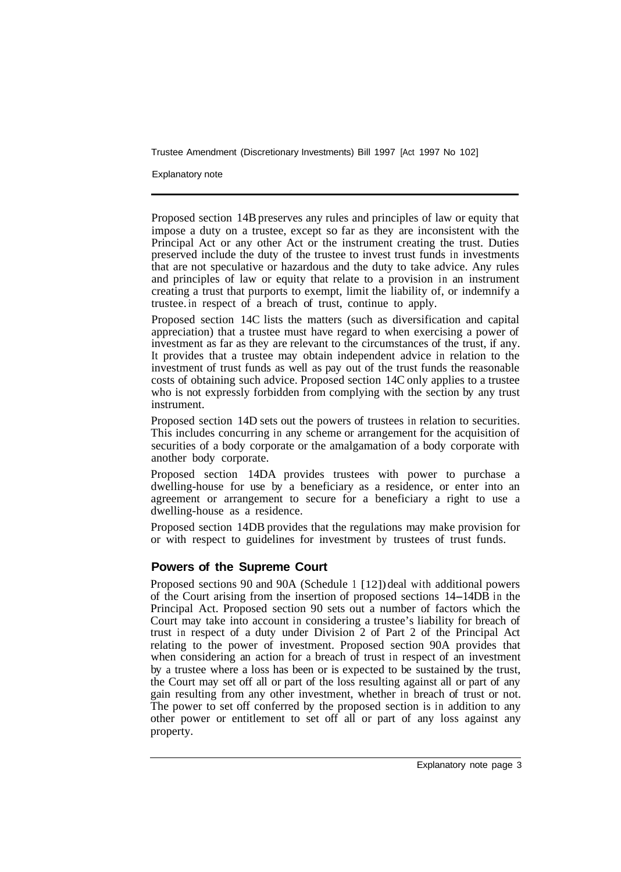Trustee Amendment (Discretionary Investments) Bill 1997 [Act 1997 No 102]

Explanatory note

Proposed section 14B preserves any rules and principles of law or equity that impose a duty on a trustee, except so far as they are inconsistent with the Principal Act or any other Act or the instrument creating the trust. Duties preserved include the duty of the trustee to invest trust funds in investments that are not speculative or hazardous and the duty to take advice. Any rules and principles of law or equity that relate to a provision in an instrument creating a trust that purports to exempt, limit the liability of, or indemnify a trustee. in respect of a breach of trust, continue to apply.

Proposed section 14C lists the matters (such as diversification and capital appreciation) that a trustee must have regard to when exercising a power of investment as far as they are relevant to the circumstances of the trust, if any. It provides that a trustee may obtain independent advice in relation to the investment of trust funds as well as pay out of the trust funds the reasonable costs of obtaining such advice. Proposed section 14C only applies to a trustee who is not expressly forbidden from complying with the section by any trust instrument.

Proposed section 14D sets out the powers of trustees in relation to securities. This includes concurring in any scheme or arrangement for the acquisition of securities of a body corporate or the amalgamation of a body corporate with another body corporate.

Proposed section 14DA provides trustees with power to purchase a dwelling-house for use by a beneficiary as a residence, or enter into an agreement or arrangement to secure for a beneficiary a right to use a dwelling-house as a residence.

Proposed section 14DB provides that the regulations may make provision for or with respect to guidelines for investment by trustees of trust funds.

#### **Powers of the Supreme Court**

Proposed sections 90 and 90A (Schedule 1 [12]) deal with additional powers of the Court arising from the insertion of proposed sections 14-14DB in the Principal Act. Proposed section 90 sets out a number of factors which the Court may take into account in considering a trustee's liability for breach of trust in respect of a duty under Division 2 of Part 2 of the Principal Act relating to the power of investment. Proposed section 90A provides that when considering an action for a breach of trust in respect of an investment by a trustee where a loss has been or is expected to be sustained by the trust, the Court may set off all or part of the loss resulting against all or part of any gain resulting from any other investment, whether in breach of trust or not. The power to set off conferred by the proposed section is in addition to any other power or entitlement to set off all or part of any loss against any property.